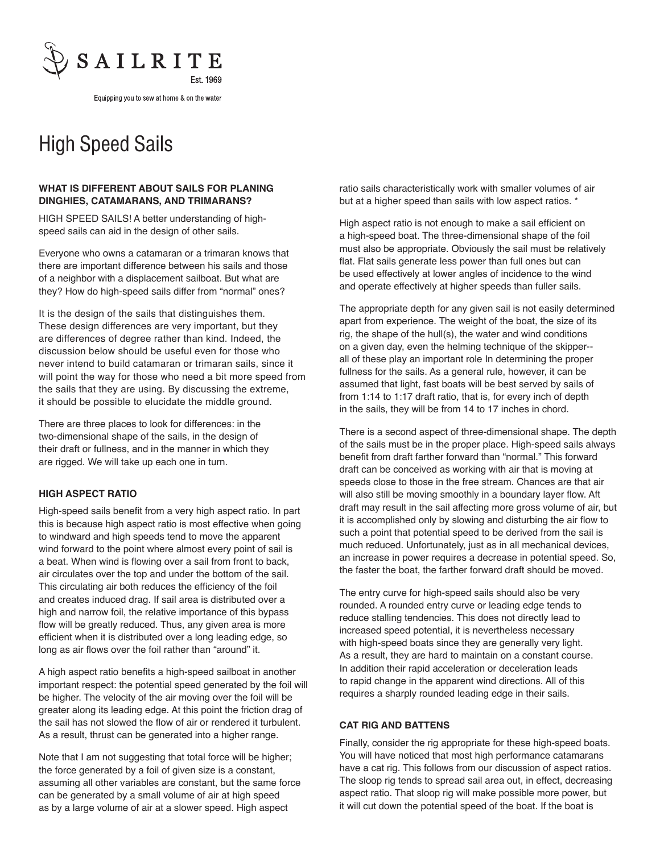

Equipping you to sew at home & on the water

## High Speed Sails

## **WHAT IS DIFFERENT ABOUT SAILS FOR PLANING DINGHIES, CATAMARANS, AND TRIMARANS?**

HIGH SPEED SAILS! A better understanding of highspeed sails can aid in the design of other sails.

Everyone who owns a catamaran or a trimaran knows that there are important difference between his sails and those of a neighbor with a displacement sailboat. But what are they? How do high-speed sails differ from "normal" ones?

It is the design of the sails that distinguishes them. These design differences are very important, but they are differences of degree rather than kind. Indeed, the discussion below should be useful even for those who never intend to build catamaran or trimaran sails, since it will point the way for those who need a bit more speed from the sails that they are using. By discussing the extreme, it should be possible to elucidate the middle ground.

There are three places to look for differences: in the two-dimensional shape of the sails, in the design of their draft or fullness, and in the manner in which they are rigged. We will take up each one in turn.

## **HIGH ASPECT RATIO**

High-speed sails benefit from a very high aspect ratio. In part this is because high aspect ratio is most effective when going to windward and high speeds tend to move the apparent wind forward to the point where almost every point of sail is a beat. When wind is flowing over a sail from front to back, air circulates over the top and under the bottom of the sail. This circulating air both reduces the efficiency of the foil and creates induced drag. If sail area is distributed over a high and narrow foil, the relative importance of this bypass flow will be greatly reduced. Thus, any given area is more efficient when it is distributed over a long leading edge, so long as air flows over the foil rather than "around" it.

A high aspect ratio benefits a high-speed sailboat in another important respect: the potential speed generated by the foil will be higher. The velocity of the air moving over the foil will be greater along its leading edge. At this point the friction drag of the sail has not slowed the flow of air or rendered it turbulent. As a result, thrust can be generated into a higher range.

Note that I am not suggesting that total force will be higher; the force generated by a foil of given size is a constant, assuming all other variables are constant, but the same force can be generated by a small volume of air at high speed as by a large volume of air at a slower speed. High aspect

ratio sails characteristically work with smaller volumes of air but at a higher speed than sails with low aspect ratios. \*

High aspect ratio is not enough to make a sail efficient on a high-speed boat. The three-dimensional shape of the foil must also be appropriate. Obviously the sail must be relatively flat. Flat sails generate less power than full ones but can be used effectively at lower angles of incidence to the wind and operate effectively at higher speeds than fuller sails.

The appropriate depth for any given sail is not easily determined apart from experience. The weight of the boat, the size of its rig, the shape of the hull(s), the water and wind conditions on a given day, even the helming technique of the skipper- all of these play an important role In determining the proper fullness for the sails. As a general rule, however, it can be assumed that light, fast boats will be best served by sails of from 1:14 to 1:17 draft ratio, that is, for every inch of depth in the sails, they will be from 14 to 17 inches in chord.

There is a second aspect of three-dimensional shape. The depth of the sails must be in the proper place. High-speed sails always benefit from draft farther forward than "normal." This forward draft can be conceived as working with air that is moving at speeds close to those in the free stream. Chances are that air will also still be moving smoothly in a boundary layer flow. Aft draft may result in the sail affecting more gross volume of air, but it is accomplished only by slowing and disturbing the air flow to such a point that potential speed to be derived from the sail is much reduced. Unfortunately, just as in all mechanical devices, an increase in power requires a decrease in potential speed. So, the faster the boat, the farther forward draft should be moved.

The entry curve for high-speed sails should also be very rounded. A rounded entry curve or leading edge tends to reduce stalling tendencies. This does not directly lead to increased speed potential, it is nevertheless necessary with high-speed boats since they are generally very light. As a result, they are hard to maintain on a constant course. In addition their rapid acceleration or deceleration leads to rapid change in the apparent wind directions. All of this requires a sharply rounded leading edge in their sails.

## **CAT RIG AND BATTENS**

Finally, consider the rig appropriate for these high-speed boats. You will have noticed that most high performance catamarans have a cat rig. This follows from our discussion of aspect ratios. The sloop rig tends to spread sail area out, in effect, decreasing aspect ratio. That sloop rig will make possible more power, but it will cut down the potential speed of the boat. If the boat is